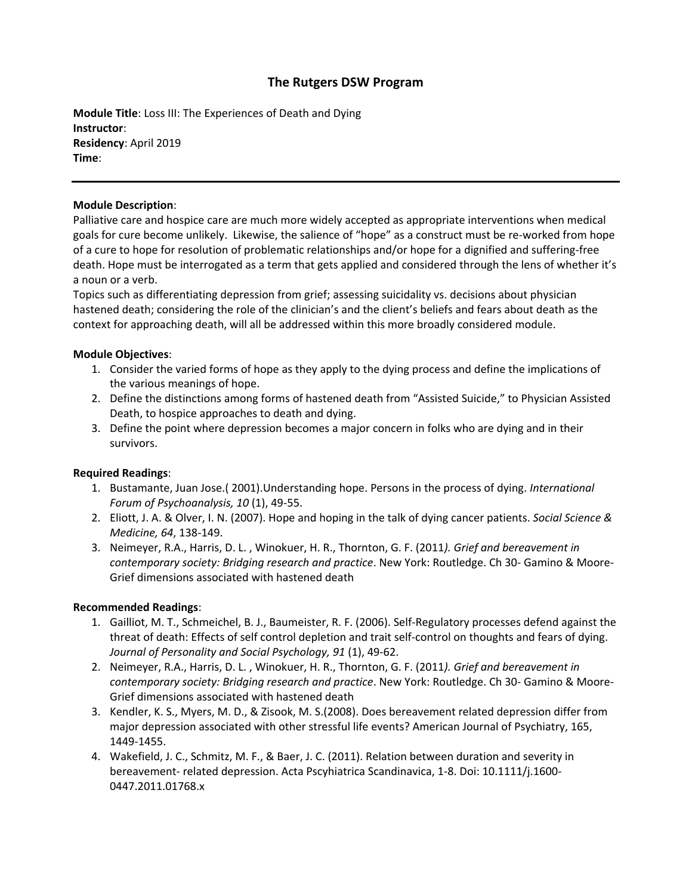# **The Rutgers DSW Program**

**Module Title**: Loss III: The Experiences of Death and Dying **Instructor**: **Residency**: April 2019 **Time**:

### **Module Description**:

Palliative care and hospice care are much more widely accepted as appropriate interventions when medical goals for cure become unlikely. Likewise, the salience of "hope" as a construct must be re-worked from hope of a cure to hope for resolution of problematic relationships and/or hope for a dignified and suffering-free death. Hope must be interrogated as a term that gets applied and considered through the lens of whether it's a noun or a verb.

Topics such as differentiating depression from grief; assessing suicidality vs. decisions about physician hastened death; considering the role of the clinician's and the client's beliefs and fears about death as the context for approaching death, will all be addressed within this more broadly considered module.

## **Module Objectives**:

- 1. Consider the varied forms of hope as they apply to the dying process and define the implications of the various meanings of hope.
- 2. Define the distinctions among forms of hastened death from "Assisted Suicide," to Physician Assisted Death, to hospice approaches to death and dying.
- 3. Define the point where depression becomes a major concern in folks who are dying and in their survivors.

## **Required Readings**:

- 1. Bustamante, Juan Jose.( 2001).Understanding hope. Persons in the process of dying. *International Forum of Psychoanalysis, 10* (1), 49-55.
- 2. Eliott, J. A. & Olver, I. N. (2007). Hope and hoping in the talk of dying cancer patients. *Social Science & Medicine, 64*, 138-149.
- 3. Neimeyer, R.A., Harris, D. L. , Winokuer, H. R., Thornton, G. F. (2011*). Grief and bereavement in contemporary society: Bridging research and practice*. New York: Routledge. Ch 30- Gamino & Moore-Grief dimensions associated with hastened death

## **Recommended Readings**:

- 1. Gailliot, M. T., Schmeichel, B. J., Baumeister, R. F. (2006). Self-Regulatory processes defend against the threat of death: Effects of self control depletion and trait self-control on thoughts and fears of dying. *Journal of Personality and Social Psychology, 91* (1), 49-62.
- 2. Neimeyer, R.A., Harris, D. L. , Winokuer, H. R., Thornton, G. F. (2011*). Grief and bereavement in contemporary society: Bridging research and practice*. New York: Routledge. Ch 30- Gamino & Moore-Grief dimensions associated with hastened death
- 3. Kendler, K. S., Myers, M. D., & Zisook, M. S.(2008). Does bereavement related depression differ from major depression associated with other stressful life events? American Journal of Psychiatry, 165, 1449-1455.
- 4. Wakefield, J. C., Schmitz, M. F., & Baer, J. C. (2011). Relation between duration and severity in bereavement- related depression. Acta Pscyhiatrica Scandinavica, 1-8. Doi: 10.1111/j.1600- 0447.2011.01768.x